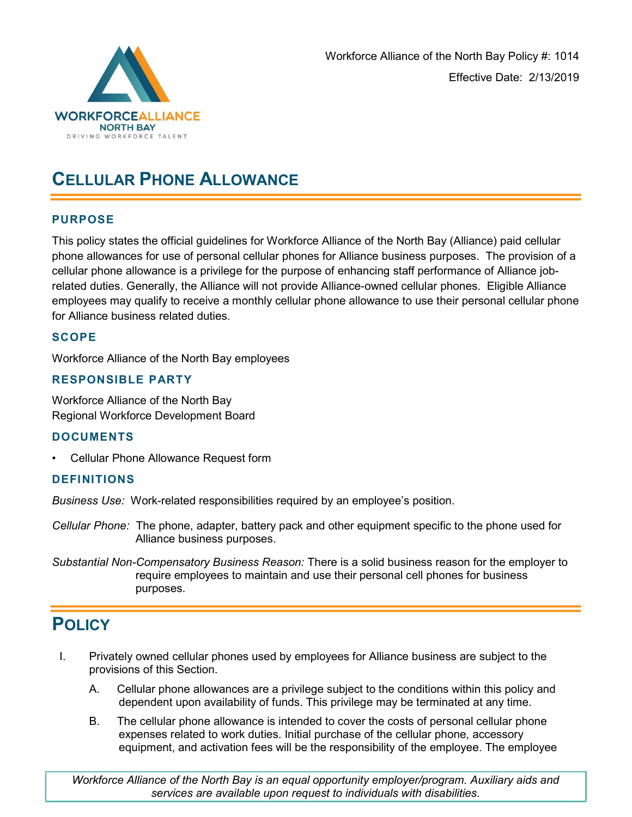

# CELLULAR PHONE ALLOWANCE

### PURPOSE

This policy states the official guidelines for Workforce Alliance of the North Bay (Alliance) paid cellular phone allowances for use of personal cellular phones for Alliance business purposes. The provision of a cellular phone allowance is a privilege for the purpose of enhancing staff performance of Alliance jobrelated duties. Generally, the Alliance will not provide Alliance-owned cellular phones. Eligible Alliance employees may qualify to receive a monthly cellular phone allowance to use their personal cellular phone for Alliance business related duties.

### **SCOPE**

Workforce Alliance of the North Bay employees

### RESPONSIBLE PARTY

Workforce Alliance of the North Bay Regional Workforce Development Board

### DOCUMENTS

• Cellular Phone Allowance Request form

### DEFINITIONS

Business Use: Work-related responsibilities required by an employee's position.

Cellular Phone: The phone, adapter, battery pack and other equipment specific to the phone used for Alliance business purposes.

Substantial Non-Compensatory Business Reason: There is a solid business reason for the employer to require employees to maintain and use their personal cell phones for business purposes.

## **POLICY**

- I. Privately owned cellular phones used by employees for Alliance business are subject to the provisions of this Section.
	- A. Cellular phone allowances are a privilege subject to the conditions within this policy and dependent upon availability of funds. This privilege may be terminated at any time.
	- B. The cellular phone allowance is intended to cover the costs of personal cellular phone expenses related to work duties. Initial purchase of the cellular phone, accessory equipment, and activation fees will be the responsibility of the employee. The employee

Workforce Alliance of the North Bay is an equal opportunity employer/program. Auxiliary aids and services are available upon request to individuals with disabilities.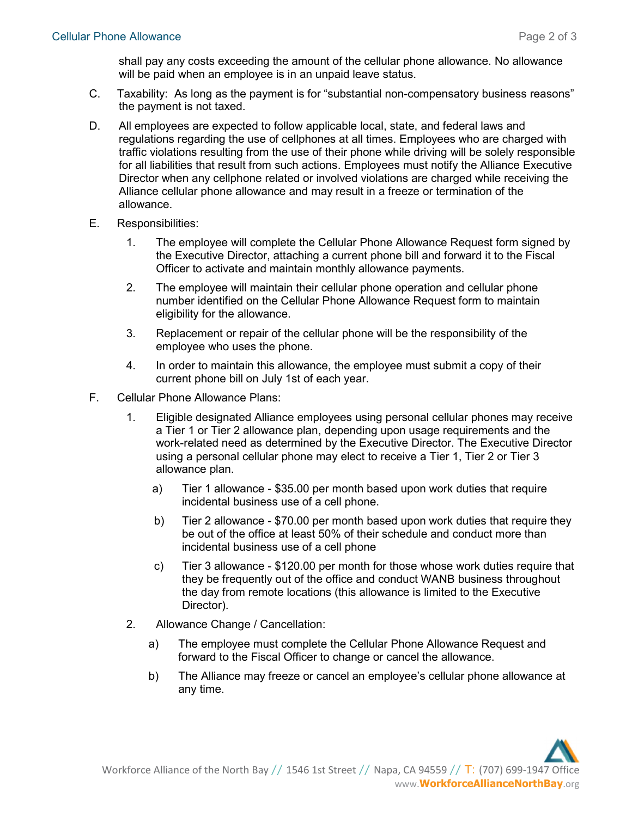shall pay any costs exceeding the amount of the cellular phone allowance. No allowance will be paid when an employee is in an unpaid leave status.

- C. Taxability: As long as the payment is for "substantial non-compensatory business reasons" the payment is not taxed.
- D. All employees are expected to follow applicable local, state, and federal laws and regulations regarding the use of cellphones at all times. Employees who are charged with traffic violations resulting from the use of their phone while driving will be solely responsible for all liabilities that result from such actions. Employees must notify the Alliance Executive Director when any cellphone related or involved violations are charged while receiving the Alliance cellular phone allowance and may result in a freeze or termination of the allowance.
- E. Responsibilities:
	- 1. The employee will complete the Cellular Phone Allowance Request form signed by the Executive Director, attaching a current phone bill and forward it to the Fiscal Officer to activate and maintain monthly allowance payments.
	- 2. The employee will maintain their cellular phone operation and cellular phone number identified on the Cellular Phone Allowance Request form to maintain eligibility for the allowance.
	- 3. Replacement or repair of the cellular phone will be the responsibility of the employee who uses the phone.
	- 4. In order to maintain this allowance, the employee must submit a copy of their current phone bill on July 1st of each year.
- F. Cellular Phone Allowance Plans:
	- 1. Eligible designated Alliance employees using personal cellular phones may receive a Tier 1 or Tier 2 allowance plan, depending upon usage requirements and the work-related need as determined by the Executive Director. The Executive Director using a personal cellular phone may elect to receive a Tier 1, Tier 2 or Tier 3 allowance plan.
		- a) Tier 1 allowance \$35.00 per month based upon work duties that require incidental business use of a cell phone.
		- b) Tier 2 allowance \$70.00 per month based upon work duties that require they be out of the office at least 50% of their schedule and conduct more than incidental business use of a cell phone
		- c) Tier 3 allowance \$120.00 per month for those whose work duties require that they be frequently out of the office and conduct WANB business throughout the day from remote locations (this allowance is limited to the Executive Director).
	- 2. Allowance Change / Cancellation:
		- a) The employee must complete the Cellular Phone Allowance Request and forward to the Fiscal Officer to change or cancel the allowance.
		- b) The Alliance may freeze or cancel an employee's cellular phone allowance at any time.